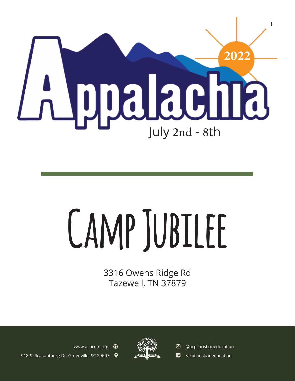

# **Camp Jubilee**

3316 Owens Ridge Rd Tazewell, TN 37879



www.arpcem.org  $\bigcirc$ 918 S Pleasantburg Dr. Greenville, SC 29607  @arpchristianeducation **1** /arpchristianeducation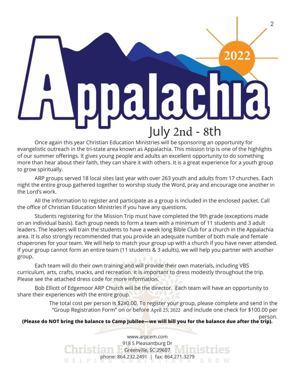# $\mathfrak{D}$ **2022ac** July 2nd - 8th

Once again this year Christian Education Ministries will be sponsoring an opportunity for evangelistic outreach in the tri-state area known as Appalachia. This mission trip is one of the highlights of our summer offerings. It gives young people and adults an excellent opportunity to do something more than hear about their faith, they can share it with others. It is a great experience for a youth group to grow spiritually.

ARP groups served 18 local sites last year with over 263 youth and adults from 17 churches. Each night the entire group gathered together to worship study the Word, pray and encourage one another in the Lord's work.

All the information to register and participate as a group is included in the enclosed packet. Call the office of Christian Education Ministries if you have any questions.

Students registering for the Mission Trip must have completed the 9th grade (exceptions made on an individual basis). Each group needs to form a team with a minimum of 11 students and 3 adult leaders. The leaders will train the students to have a week long Bible Club for a church in the Appalachia area. It is also strongly recommended that you provide an adequate number of both male and female chaperones for your team. We will help to match your group up with a church if you have never attended. If your group cannot form an entire team (11 students & 3 adults), we will help you partner with another group.

Each team will do their own training and will provide their own materials, including VBS curriculum, arts, crafts, snacks, and recreation. It is important to dress modestly throughout the trip. Please see the attached dress code for more information.

Bob Elliott of Edgemoor ARP Church will be the director. Each team will have an opportunity to share their experiences with the entire group.

> The total cost per person is \$280.00. To register your group, please complete and send in the "Group Registration Form" on or before April 25, 2022 and include one check for \$100.00 per

#### person. **(Please do NOT bring the balance to Camp Jubilee—we will bill you for the balance due after the trip).**

www.arpcem.com 918 S Pleasantburg Dr Greenville, SC 29607 phone: 864.232.2491 | fax: 864.271.3279 HELPI GROW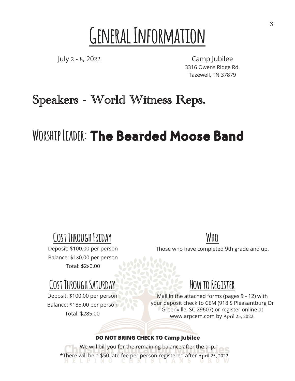### **General Information**

July 2 - 8, 2022

Camp Jubilee 3316 Owens Ridge Rd. Tazewell, TN 37879

### Speakers - World Witness Reps.

### WORSHIP LEADER: The Bearded Moose Band

### **Cost Through Friday**

Deposit: \$100.00 per person Balance: \$180.00 per person Total: \$280.00

### **Cost Through Saturday**

Deposit: \$100.00 per person Balance: \$185.00 per person Total: \$285.00

**Who**

Those who have completed 9th grade and up.

### **How to Register**

Mail in the attached forms (pages 9 - 12) with your deposit check to CEM (918 S Pleasantburg Dr Greenville, SC 29607) or register online at www.arpcem.com by April 25, 2022.

#### **DO NOT BRING CHECK TO Camp Jubilee**

We will bill you for the remaining balance after the trip. \*There will be a \$50 late fee per person registered after April 25, 2022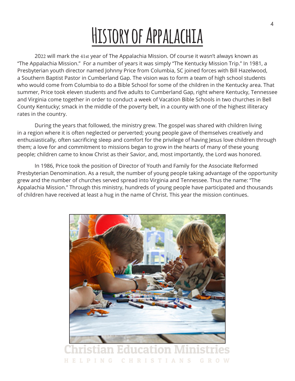### **History of Appalachia**

2022 will mark the 41st year of The Appalachia Mission. Of course it wasn't always known as "The Appalachia Mission." For a number of years it was simply "The Kentucky Mission Trip." In 1981, a Presbyterian youth director named Johnny Price from Columbia, SC joined forces with Bill Hazelwood, a Southern Baptist Pastor in Cumberland Gap. The vision was to form a team of high school students who would come from Columbia to do a Bible School for some of the children in the Kentucky area. That summer, Price took eleven students and five adults to Cumberland Gap, right where Kentucky, Tennessee and Virginia come together in order to conduct a week of Vacation Bible Schools in two churches in Bell County Kentucky; smack in the middle of the poverty belt, in a county with one of the highest illiteracy rates in the country.

During the years that followed, the ministry grew. The gospel was shared with children living in a region where it is often neglected or perverted; young people gave of themselves creatively and enthusiastically, often sacrificing sleep and comfort for the privilege of having Jesus love children through them; a love for and commitment to missions began to grow in the hearts of many of these young people; children came to know Christ as their Savior, and, most importantly, the Lord was honored.

In 1986, Price took the position of Director of Youth and Family for the Associate Reformed Presbyterian Denomination. As a result, the number of young people taking advantage of the opportunity grew and the number of churches served spread into Virginia and Tennessee. Thus the name: "The Appalachia Mission." Through this ministry, hundreds of young people have participated and thousands of children have received at least a hug in the name of Christ. This year the mission continues.



 $\mathbb{C}$ **HRISTIAN**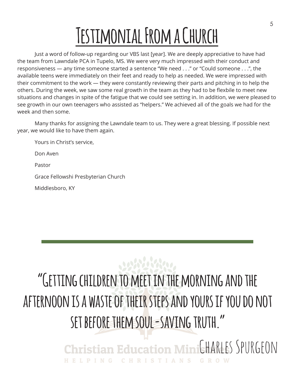# **Testimonial From a Church**

Just a word of follow-up regarding our VBS last [year]. We are deeply appreciative to have had the team from Lawndale PCA in Tupelo, MS. We were very much impressed with their conduct and responsiveness — any time someone started a sentence "We need . . ." or "Could someone . . .", the available teens were immediately on their feet and ready to help as needed. We were impressed with their commitment to the work — they were constantly reviewing their parts and pitching in to help the others. During the week, we saw some real growth in the team as they had to be flexbile to meet new situations and changes in spite of the fatigue that we could see setting in. In addition, we were pleased to see growth in our own teenagers who assisted as "helpers." We achieved all of the goals we had for the week and then some.

Many thanks for assigning the Lawndale team to us. They were a great blessing. If possible next year, we would like to have them again.

Yours in Christ's service,

Don Aven

Pastor

Grace Fellowshi Presbyterian Church

Middlesboro, KY

### 3080808800

### **"Getting children to meet in the morning and the afternoon is a waste of their steps and yours if you do not set before them soul-saving truth."**

Christian Education MinitHARLES SPURGFON HELPING CHRISTIANS GROW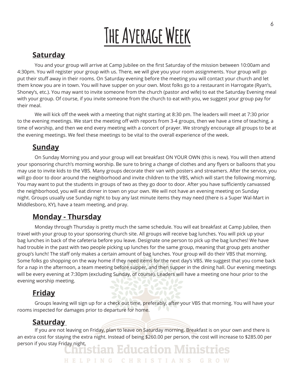# **The Average Week**

#### **Saturday**

You and your group will arrive at Camp Jubilee on the first Saturday of the mission between 10:00am and 4:30pm. You will register your group with us. There, we will give you your room assignments. Your group will go put their stuff away in their rooms. On Saturday evening before the meeting you will contact your church and let them know you are in town. You will have supper on your own. Most folks go to a restaurant in Harrogate (Ryan's, Shoney's, etc.). You may want to invite someone from the church (pastor and wife) to eat the Saturday Evening meal with your group. Of course, if you invite someone from the church to eat with you, we suggest your group pay for their meal.

We will kick off the week with a meeting that night starting at 8:30 pm. The leaders will meet at 7:30 prior to the evening meetings. We start the meeting off with reports from 3-4 groups, then we have a time of teaching, a time of worship, and then we end every meeting with a concert of prayer. We strongly encourage all groups to be at the evening meetings. We feel these meetings to be vital to the overall experience of the week.

#### **Sunday**

On Sunday Morning you and your group will eat breakfast ON YOUR OWN (this is new). You will then attend your sponsoring church's morning worship. Be sure to bring a change of clothes and any flyers or balloons that you may use to invite kids to the VBS. Many groups decorate their van with posters and streamers. After the service, you will go door to door around the neighborhood and invite children to the VBS, which will start the following morning. You may want to put the students in groups of two as they go door to door. After you have sufficiently canvassed the neighborhood, you will eat dinner in town on your own. We will not have an evening meeting on Sunday night. Groups usually use Sunday night to buy any last minute items they may need (there is a Super Wal-Mart in Middlesboro, KY), have a team meeting, and pray.

#### **Monday - Thursday**

Monday through Thursday is pretty much the same schedule. You will eat breakfast at Camp Jubilee, then travel with your group to your sponsoring church site. All groups will receive bag lunches. You will pick up your bag lunches in back of the cafeteria before you leave. Designate one person to pick up the bag lunches! We have had trouble in the past with two people picking up lunches for the same group, meaning that group gets another group's lunch! The staff only makes a certain amount of bag lunches. Your group will do their VBS that morning. Some folks go shopping on the way home if they need items for the next day's VBS. We suggest that you come back for a nap in the afternoon, a team meeting before supper, and then supper in the dining hall. Our evening meetings will be every evening at 7:30pm (excluding Sunday, of course). Leaders will have a meeting one hour prior to the evening worship meeting.

#### **Friday**

Groups leaving will sign up for a check out time, preferably, after your VBS that morning. You will have your rooms inspected for damages prior to departure for home.

#### **Saturday**

If you are not leaving on Friday, plan to leave on Saturday morning. Breakfast is on your own and there is an extra cost for staying the extra night. Instead of being \$260.00 per person, the cost will increase to \$285.00 per person if you stay Friday night.<br>Christian Education Ministries

HELPING CHRISTIANS GROW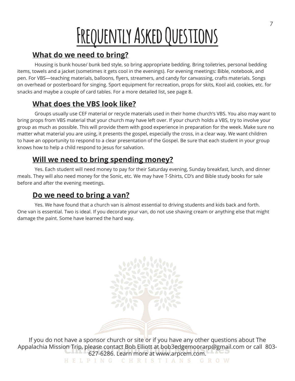# **Frequently Asked Questions**

#### **What do we need to bring?**

Housing is bunk house/ bunk bed style, so bring appropriate bedding. Bring toiletries, personal bedding items, towels and a jacket (sometimes it gets cool in the evenings). For evening meetings: Bible, notebook, and pen. For VBS—teaching materials, balloons, flyers, streamers, and candy for canvassing, crafts materials. Songs on overhead or posterboard for singing. Sport equipment for recreation, props for skits, Kool aid, cookies, etc. for snacks and maybe a couple of card tables. For a more detailed list, see page 8.

#### **What does the VBS look like?**

Groups usually use CEF material or recycle materials used in their home church's VBS. You also may want to bring props from VBS material that your church may have left over. If your church holds a VBS, try to involve your group as much as possible. This will provide them with good experience in preparation for the week. Make sure no matter what material you are using, it presents the gospel, especially the cross, in a clear way. We want children to have an opportunity to respond to a clear presentation of the Gospel. Be sure that each student in your group knows how to help a child respond to Jesus for salvation.

#### **Will we need to bring spending money?**

Yes. Each student will need money to pay for their Saturday evening, Sunday breakfast, lunch, and dinner meals. They will also need money for the Sonic, etc. We may have T-Shirts, CD's and Bible study books for sale before and after the evening meetings.

#### **Do we need to bring a van?**

Yes. We have found that a church van is almost essential to driving students and kids back and forth. One van is essential. Two is ideal. If you decorate your van, do not use shaving cream or anything else that might damage the paint. Some have learned the hard way.

If you do not have a sponsor church or site or if you have any other questions about The Appalachia Mission Trip, please contact Bob Elliott at bob3edgemoorarp@gmail.com or call 803- 627-6286. Learn more at www.arpcem.com.

HELPING CHRISTIANS GROW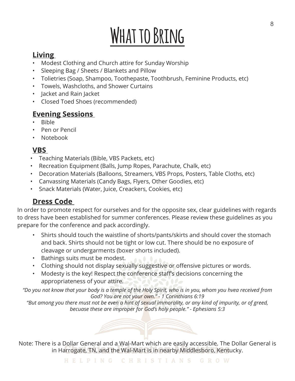### **What to Bring**

#### **Living**

- Modest Clothing and Church attire for Sunday Worship
- Sleeping Bag / Sheets / Blankets and Pillow
- Tolietries (Soap, Shampoo, Toothepaste, Toothbrush, Feminine Products, etc)
- Towels, Washcloths, and Shower Curtains
- Jacket and Rain Jacket
- Closed Toed Shoes (recommended)

#### **Evening Sessions**

- Bible
- Pen or Pencil
- Notebook

#### **VBS**

- Teaching Materials (Bible, VBS Packets, etc)
- Recreation Equipment (Balls, Jump Ropes, Parachute, Chalk, etc)
- Decoration Materials (Balloons, Streamers, VBS Props, Posters, Table Cloths, etc)
- Canvassing Materials (Candy Bags, Flyers, Other Goodies, etc)
- Snack Materials (Water, Juice, Creackers, Cookies, etc)

#### **Dress Code**

In order to promote respect for ourselves and for the opposite sex, clear guidelines with regards to dress have been established for summer conferences. Please review these guidelines as you prepare for the conference and pack accordingly.

- Shirts should touch the waistline of shorts/pants/skirts and should cover the stomach and back. Shirts should not be tight or low cut. There should be no exposure of cleavage or undergarments (boxer shorts included).
- Bathings suits must be modest.
- Clothing should not display sexually suggestive or offensive pictures or words.
- Modesty is the key! Respect the conference staff's decisions concerning the appropriateness of your attire.

*"Do you not know that your body is a temple of the Holy Spirit, who is in you, whom you hvea received from God? You are not your own." - 1 Corinthians 6:19* 

*"But among you there must not be even a hint of sexual immorality, or any kind of impurity, or of greed, becuase these are improper for God's holy people." - Ephesians 5:3*

Note: There is a Dollar General and a Wal-Mart which are easily accessible. The Dollar General is in Harrogate, TN, and the Wal-Mart is in nearby Middlesboro, Kentucky.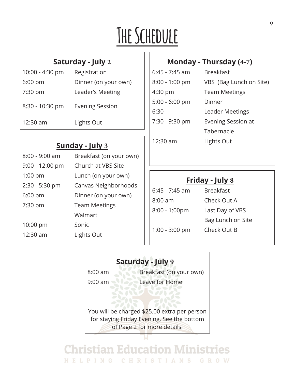# **The Schedule**

#### **Saturday - July 2**

| 10:00 - 4:30 pm | Registration           |
|-----------------|------------------------|
| $6:00$ pm       | Dinner (on your own)   |
| 7:30 pm         | Leader's Meeting       |
| 8:30 - 10:30 pm | <b>Evening Session</b> |
| 12:30 am        | Lights Out             |
|                 |                        |

#### **Sunday - July 3**

| 8:00 - 9:00 am    | Breakfast (on your own) |  |
|-------------------|-------------------------|--|
| $9:00 - 12:00$ pm | Church at VBS Site      |  |
| $1:00$ pm         | Lunch (on your own)     |  |
| 2:30 - 5:30 pm    | Canvas Neighborhoods    |  |
| $6:00$ pm         | Dinner (on your own)    |  |
| 7:30 pm           | <b>Team Meetings</b>    |  |
|                   | Walmart                 |  |
| $10:00$ pm        | Sonic                   |  |
| 12:30 am          | Lights Out              |  |
|                   |                         |  |

#### **Monday - Thursday (4-7)**

| 6:45 - 7:45 am   | <b>Breakfast</b>        |
|------------------|-------------------------|
| 8:00 - 1:00 pm   | VBS (Bag Lunch on Site) |
| 4:30 pm          | <b>Team Meetings</b>    |
| $5:00 - 6:00$ pm | Dinner                  |
| 6:30             | Leader Meetings         |
| 7:30 - 9:30 pm   | Evening Session at      |
|                  | Tabernacle              |
| 12:30 am         | Lights Out              |

#### **Friday - July 8**

6:45 - 7:45 am Breakfast 8:00 am Check Out A 8:00 - 1:00pm Last Day of VBS

Bag Lunch on Site 1:00 - 3:00 pm Check Out B

### **Saturday - July 9** 8:00 am Breakfast (on your own) 9:00 am Leave for Home You will be charged \$25.00 extra per person for staying Friday Evening. See the bottom of Page 2 for more details.

**Christian Education Ministries** HELPING CHRISTIANS GROW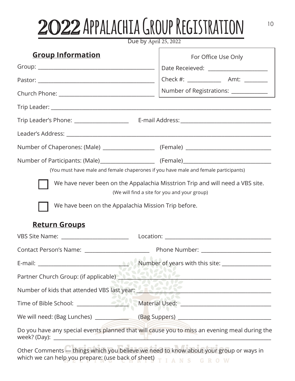### <sup>10</sup> 2022 **Appalachia Group Registration**

| Due by April 25, 2022 |  |  |  |
|-----------------------|--|--|--|
|-----------------------|--|--|--|

| <b>Group Information</b>                                                    | For Office Use Only                                                                                                           |
|-----------------------------------------------------------------------------|-------------------------------------------------------------------------------------------------------------------------------|
|                                                                             | Date Receieved: _____________________                                                                                         |
|                                                                             |                                                                                                                               |
|                                                                             | Number of Registrations: _____________                                                                                        |
|                                                                             |                                                                                                                               |
|                                                                             |                                                                                                                               |
|                                                                             |                                                                                                                               |
|                                                                             |                                                                                                                               |
|                                                                             |                                                                                                                               |
|                                                                             | (You must have male and female chaperones if you have male and female participants)                                           |
| We have been on the Appalachia Mission Trip before.<br><b>Return Groups</b> | We have never been on the Appalachia Misstrion Trip and will need a VBS site.<br>(We will find a site for you and your group) |
|                                                                             |                                                                                                                               |
|                                                                             |                                                                                                                               |
|                                                                             |                                                                                                                               |
|                                                                             | Partner Church Group: (if applicable)                                                                                         |
| Number of kids that attended VBS last year:                                 |                                                                                                                               |
|                                                                             |                                                                                                                               |
|                                                                             | We will need: (Bag Lunches) ________________(Bag Suppers) _______________________                                             |
|                                                                             | Do you have any special events planned that will cause you to miss an evening meal during the                                 |
|                                                                             | Other Comments - things which you believe we need to know about your group or ways in                                         |

which we can help you prepare: (use back of sheet)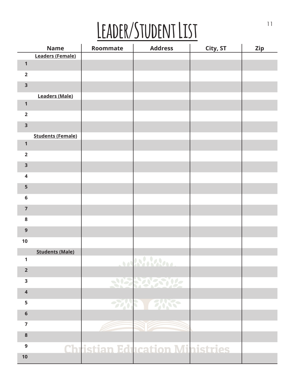# LEADER/STUDENT LIST

|                         | <b>Name</b>              | Roommate | <b>Address</b>                        | City, ST | <b>Zip</b> |
|-------------------------|--------------------------|----------|---------------------------------------|----------|------------|
|                         | <b>Leaders (Female)</b>  |          |                                       |          |            |
| $\mathbf{1}$            |                          |          |                                       |          |            |
| $\overline{2}$          |                          |          |                                       |          |            |
| $\overline{\mathbf{3}}$ |                          |          |                                       |          |            |
|                         | <b>Leaders (Male)</b>    |          |                                       |          |            |
| $\mathbf{1}$            |                          |          |                                       |          |            |
| $\overline{\mathbf{2}}$ |                          |          |                                       |          |            |
| $\overline{\mathbf{3}}$ |                          |          |                                       |          |            |
| $\mathbf{1}$            | <b>Students (Female)</b> |          |                                       |          |            |
| $\overline{\mathbf{2}}$ |                          |          |                                       |          |            |
|                         |                          |          |                                       |          |            |
| $\overline{\mathbf{3}}$ |                          |          |                                       |          |            |
| $\overline{\mathbf{4}}$ |                          |          |                                       |          |            |
| 5                       |                          |          |                                       |          |            |
| $6\phantom{1}6$         |                          |          |                                       |          |            |
| $\overline{7}$          |                          |          |                                       |          |            |
| 8                       |                          |          |                                       |          |            |
| $\mathbf{9}$            |                          |          |                                       |          |            |
| 10                      |                          |          |                                       |          |            |
|                         | <b>Students (Male)</b>   |          |                                       |          |            |
| $\mathbf{1}$            |                          |          |                                       |          |            |
| $\overline{2}$          |                          |          |                                       |          |            |
| $\overline{\mathbf{3}}$ |                          |          | 2122122112                            |          |            |
| $\overline{\mathbf{4}}$ |                          |          |                                       |          |            |
| 5                       |                          |          | <b>2008 3000</b>                      |          |            |
| $\bf 6$                 |                          |          |                                       |          |            |
| $\overline{7}$          |                          |          |                                       |          |            |
| $\pmb{8}$               |                          |          |                                       |          |            |
| $\boldsymbol{9}$        |                          |          | <b>Christian Education Ministries</b> |          |            |
| 10                      |                          |          |                                       |          |            |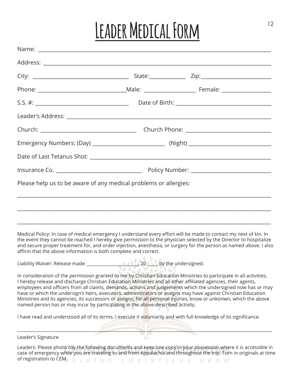# <sup>12</sup> **Leader Medical Form**

|                                                                                                                                                                                                   |                   | Emergency Numbers: (Day) ___________________________________(Night) ________________________________                                                                                                                                                                                                                                                                                                                                                                          |
|---------------------------------------------------------------------------------------------------------------------------------------------------------------------------------------------------|-------------------|-------------------------------------------------------------------------------------------------------------------------------------------------------------------------------------------------------------------------------------------------------------------------------------------------------------------------------------------------------------------------------------------------------------------------------------------------------------------------------|
|                                                                                                                                                                                                   |                   |                                                                                                                                                                                                                                                                                                                                                                                                                                                                               |
|                                                                                                                                                                                                   |                   |                                                                                                                                                                                                                                                                                                                                                                                                                                                                               |
| Please help us to be aware of any medical problems or allergies:                                                                                                                                  |                   |                                                                                                                                                                                                                                                                                                                                                                                                                                                                               |
| affirm that the above information is both complete and correct.<br>Liability Waiver: Release made                                                                                                 |                   | Medical Policy: In case of medical emergency I understand every effort will be made to contact my next of kin. In<br>the event they cannot be reached I hereby give permission to the physician selected by the Director to hospitalize<br>and secure proper treatment for, and order injection, anesthesia, or surgery for the person as named above. I also                                                                                                                 |
| I hereby release and discharge Christian Education Ministries and all other affiliated agencies, their agents,<br>named person has or may incur by participating in the above-described activity. |                   | In consideration of the permission granted to me by Christian Education Minsitries to participate in all activities,<br>employees and officers from all claims, demands, actions and judgements which the undersigned now has or may<br>have or which the undersign's heirs, executors, administrators or assigns may have against Christian Education<br>Ministries and its agencies, its successors or assigns, for all personal injuries, know or unkonwn, which the above |
|                                                                                                                                                                                                   |                   | I have read and understood all of its terms. I execute it voluntarily and with full knowledge of its significance.                                                                                                                                                                                                                                                                                                                                                            |
|                                                                                                                                                                                                   |                   |                                                                                                                                                                                                                                                                                                                                                                                                                                                                               |
| Leader's Signature                                                                                                                                                                                |                   |                                                                                                                                                                                                                                                                                                                                                                                                                                                                               |
| of registration to CEM.<br>D<br><b>I</b> N                                                                                                                                                        | $\mathbf{P}$<br>н | Leaders: Please photo coy the following documents and keep one copy in your possession where it is accessible in<br>case of emergency while you are traveling to and from Appalachia and throughout the trip. Turn in originals at time<br><b>STIANS</b><br>GROW                                                                                                                                                                                                              |